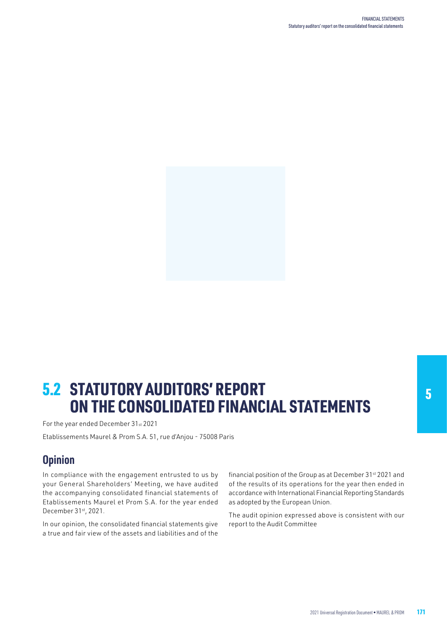

# **5.2 STATUTORY AUDITORS' REPORT Example 20 STATUTORY AUDITORS' REPORT AND REPORT ASSAULT** ON THE CONSOLIDATED FINANCIAL STATEMENTS

For the year ended December 31st 2021

Etablissements Maurel & Prom S.A. 51, rue d'Anjou - 75008 Paris

### **Opinion**

In compliance with the engagement entrusted to us by your General Shareholders' Meeting, we have audited the accompanying consolidated financial statements of Etablissements Maurel et Prom S.A. for the year ended December 31st, 2021.

In our opinion, the consolidated financial statements give a true and fair view of the assets and liabilities and of the financial position of the Group as at December 31st 2021 and of the results of its operations for the year then ended in accordance with International Financial Reporting Standards as adopted by the European Union.

The audit opinion expressed above is consistent with our report to the Audit Committee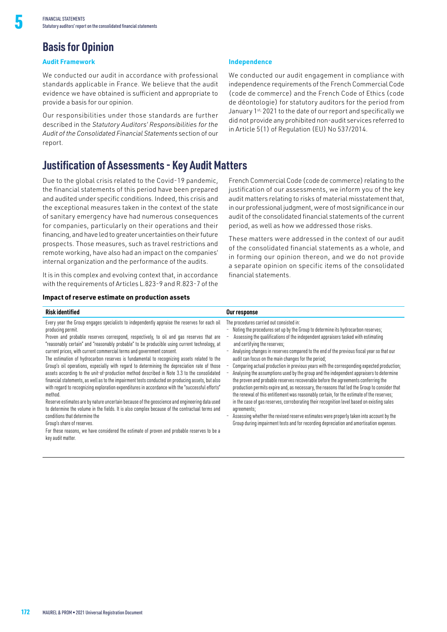## **Basis for Opinion**

### **Audit Framework**

5

We conducted our audit in accordance with professional standards applicable in France. We believe that the audit evidence we have obtained is sufficient and appropriate to provide a basis for our opinion.

Our responsibilities under those standards are further described in the *Statutory Auditors' Responsibilities for the Audit of the Consolidated Financial Statements* section of our report.

### **Justification of Assessments - Key Audit Matters**

Due to the global crisis related to the Covid-19 pandemic, the financial statements of this period have been prepared and audited under specific conditions. Indeed, this crisis and the exceptional measures taken in the context of the state of sanitary emergency have had numerous consequences for companies, particularly on their operations and their financing, and have led to greater uncertainties on their future prospects. Those measures, such as travel restrictions and remote working, have also had an impact on the companies' internal organization and the performance of the audits.

It is in this complex and evolving context that, in accordance with the requirements of Articles L.823-9 and R.823-7 of the

#### **Impact of reserve estimate on production assets**

### **Independence**

We conducted our audit engagement in compliance with independence requirements of the French Commercial Code (code de commerce) and the French Code of Ethics (code de déontologie) for statutory auditors for the period from January 1st, 2021 to the date of our report and specifically we did not provide any prohibited non-audit services referred to in Article 5(1) of Regulation (EU) No 537/2014.

French Commercial Code (code de commerce) relating to the justification of our assessments, we inform you of the key audit matters relating to risks of material misstatement that, in our professional judgment, were of most significance in our audit of the consolidated financial statements of the current period, as well as how we addressed those risks.

These matters were addressed in the context of our audit of the consolidated financial statements as a whole, and in forming our opinion thereon, and we do not provide a separate opinion on specific items of the consolidated financial statements.

| <b>Risk identified</b>                                                                                                                                                                                                                                                                                                                                                                                                                                                                                                                                                                                                                                                                                                                                                                                                                                                                                                                                                                                                                                                                                                                                                                                                                                                                    | Our response                                                                                                                                                                                                                                                                                                                                                                                                                                                                                                                                                                                                                                                                                                                                                                                                                                                                                                                                                                                                                                                                                                                                                                         |
|-------------------------------------------------------------------------------------------------------------------------------------------------------------------------------------------------------------------------------------------------------------------------------------------------------------------------------------------------------------------------------------------------------------------------------------------------------------------------------------------------------------------------------------------------------------------------------------------------------------------------------------------------------------------------------------------------------------------------------------------------------------------------------------------------------------------------------------------------------------------------------------------------------------------------------------------------------------------------------------------------------------------------------------------------------------------------------------------------------------------------------------------------------------------------------------------------------------------------------------------------------------------------------------------|--------------------------------------------------------------------------------------------------------------------------------------------------------------------------------------------------------------------------------------------------------------------------------------------------------------------------------------------------------------------------------------------------------------------------------------------------------------------------------------------------------------------------------------------------------------------------------------------------------------------------------------------------------------------------------------------------------------------------------------------------------------------------------------------------------------------------------------------------------------------------------------------------------------------------------------------------------------------------------------------------------------------------------------------------------------------------------------------------------------------------------------------------------------------------------------|
| Every year the Group engages specialists to independently appraise the reserves for each oil<br>producing permit.<br>Proven and probable reserves correspond, respectively, to oil and gas reserves that are<br>"reasonably certain" and "reasonably probable" to be producible using current technology, at<br>current prices, with current commercial terms and government consent.<br>The estimation of hydrocarbon reserves is fundamental to recognizing assets related to the<br>Group's oil operations, especially with regard to determining the depreciation rate of those<br>assets according to the unit-of-production method described in Note 3.3 to the consolidated<br>financial statements, as well as to the impairment tests conducted on producing assets, but also<br>with regard to recognizing exploration expenditures in accordance with the "successful efforts"<br>method.<br>Reserve estimates are by nature uncertain because of the geoscience and engineering data used<br>to determine the volume in the fields. It is also complex because of the contractual terms and<br>conditions that determine the<br>Group's share of reserves.<br>For these reasons, we have considered the estimate of proven and probable reserves to be a<br>key audit matter. | The procedures carried out consisted in:<br>- Noting the procedures set up by the Group to determine its hydrocarbon reserves;<br>Assessing the qualifications of the independent appraisers tasked with estimating<br>and certifying the reserves;<br>Analysing changes in reserves compared to the end of the previous fiscal year so that our<br>audit can focus on the main changes for the period;<br>Comparing actual production in previous years with the corresponding expected production;<br>Analysing the assumptions used by the group and the independent appraisers to determine<br>the proven and probable reserves recoverable before the agreements conferring the<br>production permits expire and, as necessary, the reasons that led the Group to consider that<br>the renewal of this entitlement was reasonably certain, for the estimate of the reserves;<br>in the case of gas reserves, corroborating their recognition level based on existing sales<br>agreements;<br>Assessing whether the revised reserve estimates were properly taken into account by the<br>Group during impairment tests and for recording depreciation and amortisation expenses. |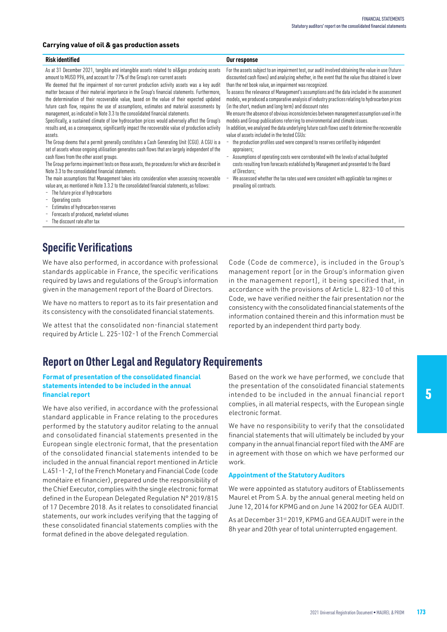### **Carrying value of oil & gas production assets**

#### **Risk identified Our response**

As at 31 December 2021, tangible and intangible assets related to oil&gas producing assets amount to MUSD 996, and account for 77% of the Group's non-current assets

We deemed that the impairment of non-current production activity assets was a key audit matter because of their material importance in the Group's financial statements. Furthermore, the determination of their recoverable value, based on the value of their expected updated future cash flow, requires the use of assumptions, estimates and material assessments by management, as indicated in Note 3.3 to the consolidated financial statements.

Specifically, a sustained climate of low hydrocarbon prices would adversely affect the Group's results and, as a consequence, significantly impact the recoverable value of production activity assets.

The Group deems that a permit generally constitutes a Cash Generating Unit (CGU). A CGU is a set of assets whose ongoing utilisation generates cash flows that are largely independent of the cash flows from the other asset groups.

The Group performs impairment tests on those assets, the procedures for which are described in Note 3.3 to the consolidated financial statements.

The main assumptions that Management takes into consideration when assessing recoverable value are, as mentioned in Note 3.3.2 to the consolidated financial statements, as follows:

- The future price of hydrocarbons
- Operating costs
- Estimates of hydrocarbon reserves
- Forecasts of produced, marketed volumes
- The discount rate after tax

## **Specific Verifications**

We have also performed, in accordance with professional standards applicable in France, the specific verifications required by laws and regulations of the Group's information given in the management report of the Board of Directors.

We have no matters to report as to its fair presentation and its consistency with the consolidated financial statements.

We attest that the consolidated non-financial statement required by Article L. 225-102-1 of the French Commercial

### **Report on Other Legal and Regulatory Requirements**

### **Format of presentation of the consolidated financial statements intended to be included in the annual financial report**

We have also verified, in accordance with the professional standard applicable in France relating to the procedures performed by the statutory auditor relating to the annual and consolidated financial statements presented in the European single electronic format, that the presentation of the consolidated financial statements intended to be included in the annual financial report mentioned in Article L.451-1-2, I of the French Monetary and Financial Code (code monétaire et financier), prepared unde the responsibility of the Chief Executor, complies with the single electronic format defined in the European Delegated Regulation N° 2019/815 of 17 Decembre 2018. As it relates to consolidated financial statements, our work includes verifying that the tagging of these consolidated financial statements complies with the format defined in the above delegated regulation.

For the assets subject to an impairment test, our audit involved obtaining the value in use (future discounted cash flows) and analyzing whether, in the event that the value thus obtained is lower than the net book value, an impairment was recognized.

To assess the relevance of Management's assumptions and the data included in the assessment models, we produced a comparative analysis of industry practices relating to hydrocarbon prices (in the short, medium and long term) and discount rates

We ensure the absence of obvious inconsistencies between management assumption used in the models and Group publications referring to environmental and climate issues.

In addition, we analysed the data underlying future cash flows used to determine the recoverable value of assets included in the tested CGUs:

- the production profiles used were compared to reserves certified by independent annraisers;
- Assumptions of operating costs were corroborated with the levels of actual budgeted costs resulting from forecasts established by Management and presented to the Board of Directors;
- We assessed whether the tax rates used were consistent with applicable tax regimes or prevailing oil contracts.

Code (Code de commerce), is included in the Group's management report [or in the Group's information given in the management report], it being specified that, in accordance with the provisions of Article L. 823-10 of this Code, we have verified neither the fair presentation nor the consistency with the consolidated financial statements of the information contained therein and this information must be reported by an independent third party body.

Based on the work we have performed, we conclude that the presentation of the consolidated financial statements intended to be included in the annual financial report complies, in all material respects, with the European single electronic format.

We have no responsibility to verify that the consolidated financial statements that will ultimately be included by your company in the annual financial report filed with the AMF are in agreement with those on which we have performed our work.

#### **Appointment of the Statutory Auditors**

We were appointed as statutory auditors of Etablissements Maurel et Prom S.A. by the annual general meeting held on June 12, 2014 for KPMG and on June 14 2002 for GEA AUDIT.

As at December 31st 2019, KPMG and GEA AUDIT were in the 8h year and 20th year of total uninterrupted engagement.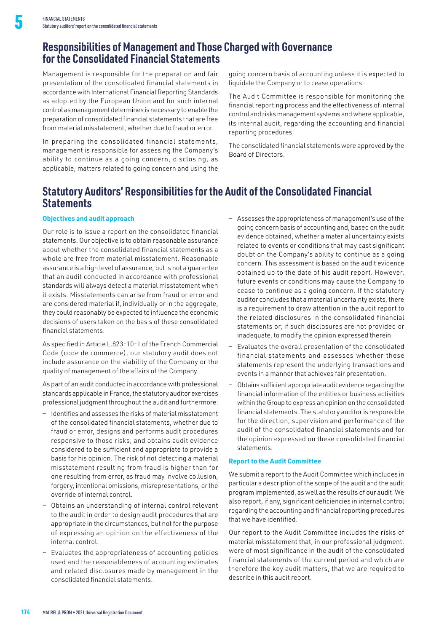### **Responsibilities of Management and Those Charged with Governance for the Consolidated Financial Statements**

Management is responsible for the preparation and fair presentation of the consolidated financial statements in accordance with International Financial Reporting Standards as adopted by the European Union and for such internal control as management determines is necessary to enable the preparation of consolidated financial statements that are free from material misstatement, whether due to fraud or error.

In preparing the consolidated financial statements, management is responsible for assessing the Company's ability to continue as a going concern, disclosing, as applicable, matters related to going concern and using the

going concern basis of accounting unless it is expected to liquidate the Company or to cease operations.

The Audit Committee is responsible for monitoring the financial reporting process and the effectiveness of internal control and risks management systems and where applicable, its internal audit, regarding the accounting and financial reporting procedures.

The consolidated financial statements were approved by the Board of Directors.

### **Statutory Auditors' Responsibilities for the Audit of the Consolidated Financial Statements**

#### **Objectives and audit approach**

Our role is to issue a report on the consolidated financial statements. Our objective is to obtain reasonable assurance about whether the consolidated financial statements as a whole are free from material misstatement. Reasonable assurance is a high level of assurance, but is not a guarantee that an audit conducted in accordance with professional standards will always detect a material misstatement when it exists. Misstatements can arise from fraud or error and are considered material if, individually or in the aggregate, they could reasonably be expected to influence the economic decisions of users taken on the basis of these consolidated financial statements.

As specified in Article L.823-10-1 of the French Commercial Code (code de commerce), our statutory audit does not include assurance on the viability of the Company or the quality of management of the affairs of the Company.

As part of an audit conducted in accordance with professional standards applicable in France, the statutory auditor exercises professional judgment throughout the audit and furthermore:

- − Identifies and assesses the risks of material misstatement of the consolidated financial statements, whether due to fraud or error, designs and performs audit procedures responsive to those risks, and obtains audit evidence considered to be sufficient and appropriate to provide a basis for his opinion. The risk of not detecting a material misstatement resulting from fraud is higher than for one resulting from error, as fraud may involve collusion, forgery, intentional omissions, misrepresentations, or the override of internal control.
- − Obtains an understanding of internal control relevant to the audit in order to design audit procedures that are appropriate in the circumstances, but not for the purpose of expressing an opinion on the effectiveness of the internal control.
- Evaluates the appropriateness of accounting policies used and the reasonableness of accounting estimates and related disclosures made by management in the consolidated financial statements.
- − Assesses the appropriateness of management's use of the going concern basis of accounting and, based on the audit evidence obtained, whether a material uncertainty exists related to events or conditions that may cast significant doubt on the Company's ability to continue as a going concern. This assessment is based on the audit evidence obtained up to the date of his audit report. However, future events or conditions may cause the Company to cease to continue as a going concern. If the statutory auditor concludes that a material uncertainty exists, there is a requirement to draw attention in the audit report to the related disclosures in the consolidated financial statements or, if such disclosures are not provided or inadequate, to modify the opinion expressed therein.
- − Evaluates the overall presentation of the consolidated financial statements and assesses whether these statements represent the underlying transactions and events in a manner that achieves fair presentation.
- − Obtains sufficient appropriate audit evidence regarding the financial information of the entities or business activities within the Group to express an opinion on the consolidated financial statements. The statutory auditor is responsible for the direction, supervision and performance of the audit of the consolidated financial statements and for the opinion expressed on these consolidated financial statements.

#### **Report to the Audit Committee**

We submit a report to the Audit Committee which includes in particular a description of the scope of the audit and the audit program implemented, as well as the results of our audit. We also report, if any, significant deficiencies in internal control regarding the accounting and financial reporting procedures that we have identified.

Our report to the Audit Committee includes the risks of material misstatement that, in our professional judgment, were of most significance in the audit of the consolidated financial statements of the current period and which are therefore the key audit matters, that we are required to describe in this audit report.